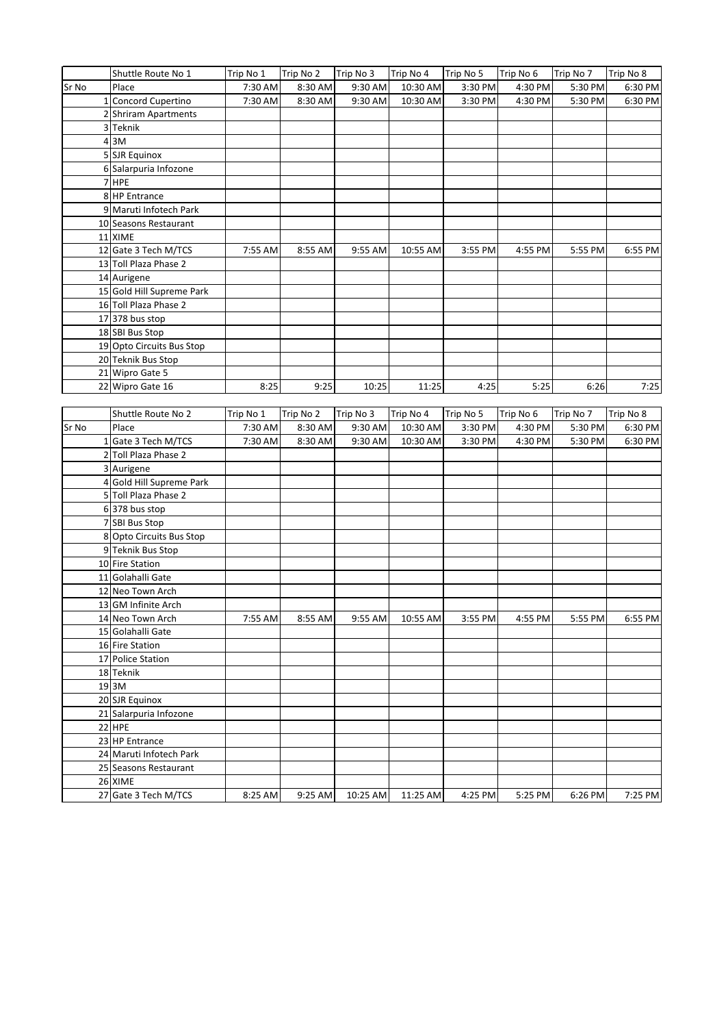|       | Shuttle Route No 1        | Trip No 1 | Trip No 2 | Trip No 3 | Trip No 4 | Trip No 5 | Trip No 6 | Trip No 7 | Trip No 8 |
|-------|---------------------------|-----------|-----------|-----------|-----------|-----------|-----------|-----------|-----------|
| Sr No | Place                     | 7:30 AM   | 8:30 AM   | 9:30 AM   | 10:30 AM  | 3:30 PM   | 4:30 PM   | 5:30 PM   | 6:30 PM   |
|       | 1 Concord Cupertino       | 7:30 AM   | 8:30 AM   | 9:30 AM   | 10:30 AM  | 3:30 PM   | 4:30 PM   | 5:30 PM   | 6:30 PM   |
|       | 2 Shriram Apartments      |           |           |           |           |           |           |           |           |
|       | 3 Teknik                  |           |           |           |           |           |           |           |           |
|       | 43M                       |           |           |           |           |           |           |           |           |
|       | 5 SJR Equinox             |           |           |           |           |           |           |           |           |
|       | 6 Salarpuria Infozone     |           |           |           |           |           |           |           |           |
|       | 7 HPE                     |           |           |           |           |           |           |           |           |
|       | 8 HP Entrance             |           |           |           |           |           |           |           |           |
|       | 9 Maruti Infotech Park    |           |           |           |           |           |           |           |           |
|       | 10 Seasons Restaurant     |           |           |           |           |           |           |           |           |
|       | 11 XIME                   |           |           |           |           |           |           |           |           |
|       | 12 Gate 3 Tech M/TCS      | 7:55 AM   | 8:55 AM   | 9:55 AM   | 10:55 AM  | 3:55 PM   | 4:55 PM   | 5:55 PM   | 6:55 PM   |
|       | 13 Toll Plaza Phase 2     |           |           |           |           |           |           |           |           |
|       | 14 Aurigene               |           |           |           |           |           |           |           |           |
|       | 15 Gold Hill Supreme Park |           |           |           |           |           |           |           |           |
|       | 16 Toll Plaza Phase 2     |           |           |           |           |           |           |           |           |
|       | 17 378 bus stop           |           |           |           |           |           |           |           |           |
|       | 18 SBI Bus Stop           |           |           |           |           |           |           |           |           |
|       | 19 Opto Circuits Bus Stop |           |           |           |           |           |           |           |           |
|       | 20 Teknik Bus Stop        |           |           |           |           |           |           |           |           |
|       | 21 Wipro Gate 5           |           |           |           |           |           |           |           |           |
|       | 22 Wipro Gate 16          | 8:25      | 9:25      | 10:25     | 11:25     | 4:25      | 5:25      | 6:26      | 7:25      |

|       | Shuttle Route No 2       | Trip No 1 | Trip No 2 | Trip No 3 | Trip No 4 | Trip No 5 | Trip No 6 | Trip No 7 | Trip No 8 |
|-------|--------------------------|-----------|-----------|-----------|-----------|-----------|-----------|-----------|-----------|
| Sr No | Place                    | 7:30 AM   | 8:30 AM   | 9:30 AM   | 10:30 AM  | 3:30 PM   | 4:30 PM   | 5:30 PM   | 6:30 PM   |
|       | 1 Gate 3 Tech M/TCS      | 7:30 AM   | 8:30 AM   | 9:30 AM   | 10:30 AM  | 3:30 PM   | 4:30 PM   | 5:30 PM   | 6:30 PM   |
|       | 2 Toll Plaza Phase 2     |           |           |           |           |           |           |           |           |
|       | 3 Aurigene               |           |           |           |           |           |           |           |           |
|       | 4 Gold Hill Supreme Park |           |           |           |           |           |           |           |           |
|       | 5 Toll Plaza Phase 2     |           |           |           |           |           |           |           |           |
|       | 6 378 bus stop           |           |           |           |           |           |           |           |           |
|       | 7 SBI Bus Stop           |           |           |           |           |           |           |           |           |
|       | 8 Opto Circuits Bus Stop |           |           |           |           |           |           |           |           |
|       | 9 Teknik Bus Stop        |           |           |           |           |           |           |           |           |
|       | 10 Fire Station          |           |           |           |           |           |           |           |           |
|       | 11 Golahalli Gate        |           |           |           |           |           |           |           |           |
|       | 12 Neo Town Arch         |           |           |           |           |           |           |           |           |
|       | 13 GM Infinite Arch      |           |           |           |           |           |           |           |           |
|       | 14 Neo Town Arch         | 7:55 AM   | 8:55 AM   | 9:55 AM   | 10:55 AM  | 3:55 PM   | 4:55 PM   | 5:55 PM   | 6:55 PM   |
|       | 15 Golahalli Gate        |           |           |           |           |           |           |           |           |
|       | 16 Fire Station          |           |           |           |           |           |           |           |           |
|       | 17 Police Station        |           |           |           |           |           |           |           |           |
|       | 18 Teknik                |           |           |           |           |           |           |           |           |
|       | 19 <sub>3M</sub>         |           |           |           |           |           |           |           |           |
|       | 20 SJR Equinox           |           |           |           |           |           |           |           |           |
|       | 21 Salarpuria Infozone   |           |           |           |           |           |           |           |           |
|       | 22 HPE                   |           |           |           |           |           |           |           |           |
|       | 23 HP Entrance           |           |           |           |           |           |           |           |           |
|       | 24 Maruti Infotech Park  |           |           |           |           |           |           |           |           |
|       | 25 Seasons Restaurant    |           |           |           |           |           |           |           |           |
|       | 26 XIME                  |           |           |           |           |           |           |           |           |
|       | 27 Gate 3 Tech M/TCS     | 8:25 AM   | 9:25 AM   | 10:25 AM  | 11:25 AM  | 4:25 PM   | 5:25 PM   | 6:26 PM   | 7:25 PM   |